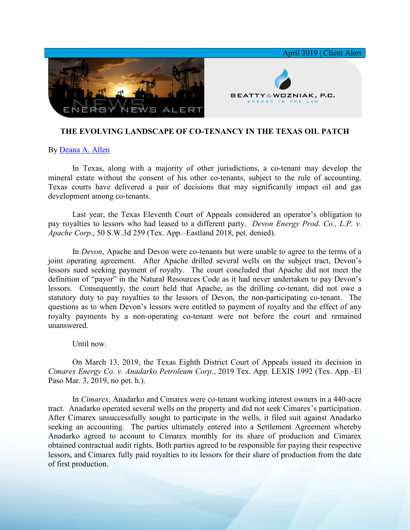

## **THE EVOLVING LANDSCAPE OF CO-TENANCY IN THE TEXAS OIL PATCH**

## By [Deana A. Allen](https://www.bwenergylaw.com/deana-allen)

In Texas, along with a majority of other jurisdictions, a co-tenant may develop the mineral estate without the consent of his other co-tenants, subject to the rule of accounting. Texas courts have delivered a pair of decisions that may significantly impact oil and gas development among co-tenants.

Last year, the Texas Eleventh Court of Appeals considered an operator's obligation to pay royalties to lessors who had leased to a different party. *Devon Energy Prod. Co., L.P. v. Apache Corp*., 50 S.W.3d 259 (Tex. App.–Eastland 2018, pet. denied).

In *Devon*, Apache and Devon were co-tenants but were unable to agree to the terms of a joint operating agreement. After Apache drilled several wells on the subject tract, Devon's lessors sued seeking payment of royalty. The court concluded that Apache did not meet the definition of "payor" in the Natural Resources Code as it had never undertaken to pay Devon's lessors. Consequently, the court held that Apache, as the drilling co-tenant, did not owe a statutory duty to pay royalties to the lessors of Devon, the non-participating co-tenant. The questions as to when Devon's lessors were entitled to payment of royalty and the effect of any royalty payments by a non-operating co-tenant were not before the court and remained unanswered.

## Until now.

On March 13, 2019, the Texas Eighth District Court of Appeals issued its decision in *Cimarex Energy Co. v. Anadarko Petroleum Corp.*, 2019 Tex. App. LEXIS 1992 (Tex. App.–El Paso Mar. 3, 2019, no pet. h.).

In *Cimarex,* Anadarko and Cimarex were co-tenant working interest owners in a 440-acre tract. Anadarko operated several wells on the property and did not seek Cimarex's participation. After Cimarex unsuccessfully sought to participate in the wells, it filed suit against Anadarko seeking an accounting. The parties ultimately entered into a Settlement Agreement whereby Anadarko agreed to account to Cimarex monthly for its share of production and Cimarex obtained contractual audit rights. Both parties agreed to be responsible for paying their respective lessors, and Cimarex fully paid royalties to its lessors for their share of production from the date of first production.